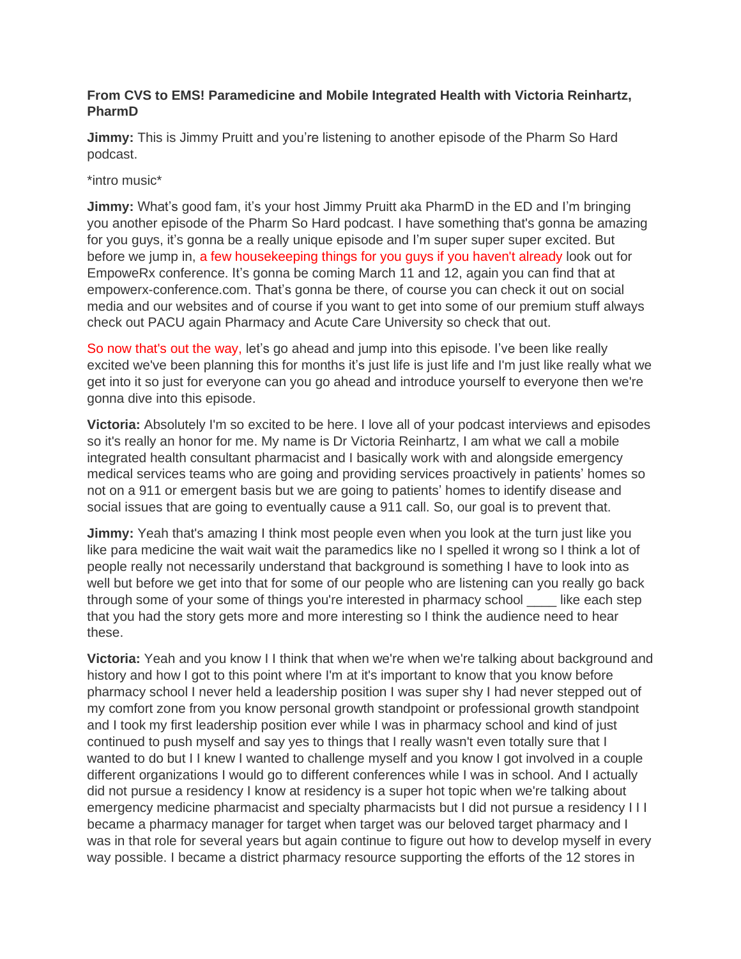## **From CVS to EMS! Paramedicine and Mobile Integrated Health with Victoria Reinhartz, PharmD**

**Jimmy:** This is Jimmy Pruitt and you're listening to another episode of the Pharm So Hard podcast.

\*intro music\*

**Jimmy:** What's good fam, it's your host Jimmy Pruitt aka PharmD in the ED and I'm bringing you another episode of the Pharm So Hard podcast. I have something that's gonna be amazing for you guys, it's gonna be a really unique episode and I'm super super super excited. But before we jump in, a few housekeeping things for you guys if you haven't already look out for EmpoweRx conference. It's gonna be coming March 11 and 12, again you can find that at empowerx-conference.com. That's gonna be there, of course you can check it out on social media and our websites and of course if you want to get into some of our premium stuff always check out PACU again Pharmacy and Acute Care University so check that out.

So now that's out the way, let's go ahead and jump into this episode. I've been like really excited we've been planning this for months it's just life is just life and I'm just like really what we get into it so just for everyone can you go ahead and introduce yourself to everyone then we're gonna dive into this episode.

**Victoria:** Absolutely I'm so excited to be here. I love all of your podcast interviews and episodes so it's really an honor for me. My name is Dr Victoria Reinhartz, I am what we call a mobile integrated health consultant pharmacist and I basically work with and alongside emergency medical services teams who are going and providing services proactively in patients' homes so not on a 911 or emergent basis but we are going to patients' homes to identify disease and social issues that are going to eventually cause a 911 call. So, our goal is to prevent that.

**Jimmy:** Yeah that's amazing I think most people even when you look at the turn just like you like para medicine the wait wait wait the paramedics like no I spelled it wrong so I think a lot of people really not necessarily understand that background is something I have to look into as well but before we get into that for some of our people who are listening can you really go back through some of your some of things you're interested in pharmacy school \_\_\_\_ like each step that you had the story gets more and more interesting so I think the audience need to hear these.

**Victoria:** Yeah and you know I I think that when we're when we're talking about background and history and how I got to this point where I'm at it's important to know that you know before pharmacy school I never held a leadership position I was super shy I had never stepped out of my comfort zone from you know personal growth standpoint or professional growth standpoint and I took my first leadership position ever while I was in pharmacy school and kind of just continued to push myself and say yes to things that I really wasn't even totally sure that I wanted to do but I I knew I wanted to challenge myself and you know I got involved in a couple different organizations I would go to different conferences while I was in school. And I actually did not pursue a residency I know at residency is a super hot topic when we're talking about emergency medicine pharmacist and specialty pharmacists but I did not pursue a residency I I I became a pharmacy manager for target when target was our beloved target pharmacy and I was in that role for several years but again continue to figure out how to develop myself in every way possible. I became a district pharmacy resource supporting the efforts of the 12 stores in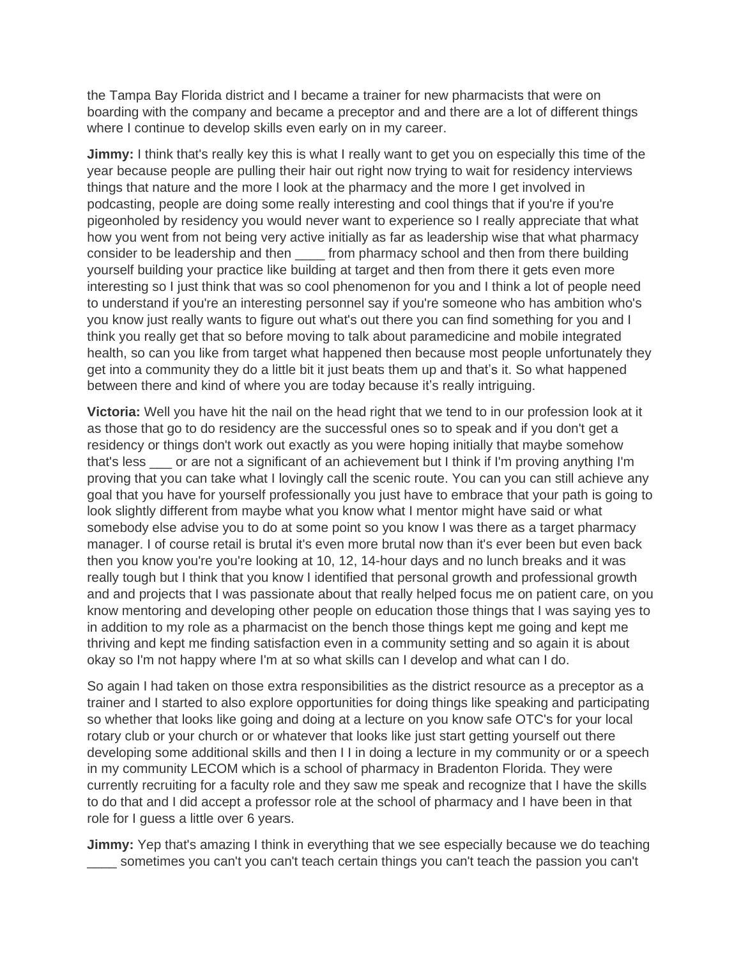the Tampa Bay Florida district and I became a trainer for new pharmacists that were on boarding with the company and became a preceptor and and there are a lot of different things where I continue to develop skills even early on in my career.

**Jimmy:** I think that's really key this is what I really want to get you on especially this time of the year because people are pulling their hair out right now trying to wait for residency interviews things that nature and the more I look at the pharmacy and the more I get involved in podcasting, people are doing some really interesting and cool things that if you're if you're pigeonholed by residency you would never want to experience so I really appreciate that what how you went from not being very active initially as far as leadership wise that what pharmacy consider to be leadership and then \_\_\_\_ from pharmacy school and then from there building yourself building your practice like building at target and then from there it gets even more interesting so I just think that was so cool phenomenon for you and I think a lot of people need to understand if you're an interesting personnel say if you're someone who has ambition who's you know just really wants to figure out what's out there you can find something for you and I think you really get that so before moving to talk about paramedicine and mobile integrated health, so can you like from target what happened then because most people unfortunately they get into a community they do a little bit it just beats them up and that's it. So what happened between there and kind of where you are today because it's really intriguing.

**Victoria:** Well you have hit the nail on the head right that we tend to in our profession look at it as those that go to do residency are the successful ones so to speak and if you don't get a residency or things don't work out exactly as you were hoping initially that maybe somehow that's less \_\_\_ or are not a significant of an achievement but I think if I'm proving anything I'm proving that you can take what I lovingly call the scenic route. You can you can still achieve any goal that you have for yourself professionally you just have to embrace that your path is going to look slightly different from maybe what you know what I mentor might have said or what somebody else advise you to do at some point so you know I was there as a target pharmacy manager. I of course retail is brutal it's even more brutal now than it's ever been but even back then you know you're you're looking at 10, 12, 14-hour days and no lunch breaks and it was really tough but I think that you know I identified that personal growth and professional growth and and projects that I was passionate about that really helped focus me on patient care, on you know mentoring and developing other people on education those things that I was saying yes to in addition to my role as a pharmacist on the bench those things kept me going and kept me thriving and kept me finding satisfaction even in a community setting and so again it is about okay so I'm not happy where I'm at so what skills can I develop and what can I do.

So again I had taken on those extra responsibilities as the district resource as a preceptor as a trainer and I started to also explore opportunities for doing things like speaking and participating so whether that looks like going and doing at a lecture on you know safe OTC's for your local rotary club or your church or or whatever that looks like just start getting yourself out there developing some additional skills and then I I in doing a lecture in my community or or a speech in my community LECOM which is a school of pharmacy in Bradenton Florida. They were currently recruiting for a faculty role and they saw me speak and recognize that I have the skills to do that and I did accept a professor role at the school of pharmacy and I have been in that role for I guess a little over 6 years.

**Jimmy:** Yep that's amazing I think in everything that we see especially because we do teaching \_\_\_\_ sometimes you can't you can't teach certain things you can't teach the passion you can't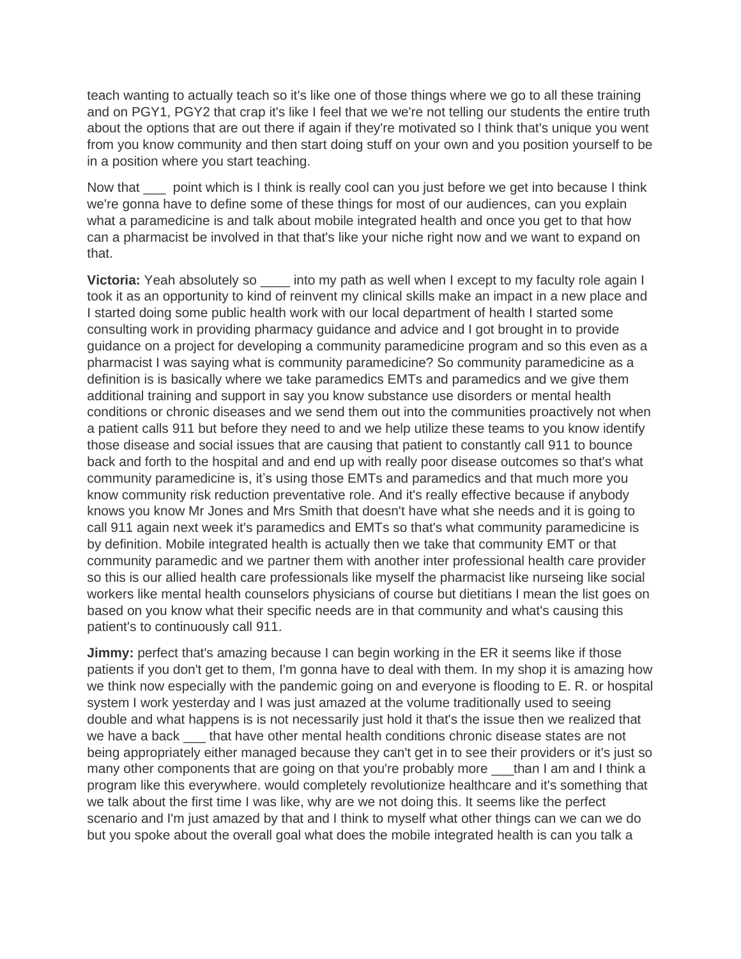teach wanting to actually teach so it's like one of those things where we go to all these training and on PGY1, PGY2 that crap it's like I feel that we we're not telling our students the entire truth about the options that are out there if again if they're motivated so I think that's unique you went from you know community and then start doing stuff on your own and you position yourself to be in a position where you start teaching.

Now that point which is I think is really cool can you just before we get into because I think we're gonna have to define some of these things for most of our audiences, can you explain what a paramedicine is and talk about mobile integrated health and once you get to that how can a pharmacist be involved in that that's like your niche right now and we want to expand on that.

**Victoria:** Yeah absolutely so \_\_\_\_\_ into my path as well when I except to my faculty role again I took it as an opportunity to kind of reinvent my clinical skills make an impact in a new place and I started doing some public health work with our local department of health I started some consulting work in providing pharmacy guidance and advice and I got brought in to provide guidance on a project for developing a community paramedicine program and so this even as a pharmacist I was saying what is community paramedicine? So community paramedicine as a definition is is basically where we take paramedics EMTs and paramedics and we give them additional training and support in say you know substance use disorders or mental health conditions or chronic diseases and we send them out into the communities proactively not when a patient calls 911 but before they need to and we help utilize these teams to you know identify those disease and social issues that are causing that patient to constantly call 911 to bounce back and forth to the hospital and and end up with really poor disease outcomes so that's what community paramedicine is, it's using those EMTs and paramedics and that much more you know community risk reduction preventative role. And it's really effective because if anybody knows you know Mr Jones and Mrs Smith that doesn't have what she needs and it is going to call 911 again next week it's paramedics and EMTs so that's what community paramedicine is by definition. Mobile integrated health is actually then we take that community EMT or that community paramedic and we partner them with another inter professional health care provider so this is our allied health care professionals like myself the pharmacist like nurseing like social workers like mental health counselors physicians of course but dietitians I mean the list goes on based on you know what their specific needs are in that community and what's causing this patient's to continuously call 911.

**Jimmy:** perfect that's amazing because I can begin working in the ER it seems like if those patients if you don't get to them, I'm gonna have to deal with them. In my shop it is amazing how we think now especially with the pandemic going on and everyone is flooding to E. R. or hospital system I work yesterday and I was just amazed at the volume traditionally used to seeing double and what happens is is not necessarily just hold it that's the issue then we realized that we have a back that have other mental health conditions chronic disease states are not being appropriately either managed because they can't get in to see their providers or it's just so many other components that are going on that you're probably more than I am and I think a program like this everywhere. would completely revolutionize healthcare and it's something that we talk about the first time I was like, why are we not doing this. It seems like the perfect scenario and I'm just amazed by that and I think to myself what other things can we can we do but you spoke about the overall goal what does the mobile integrated health is can you talk a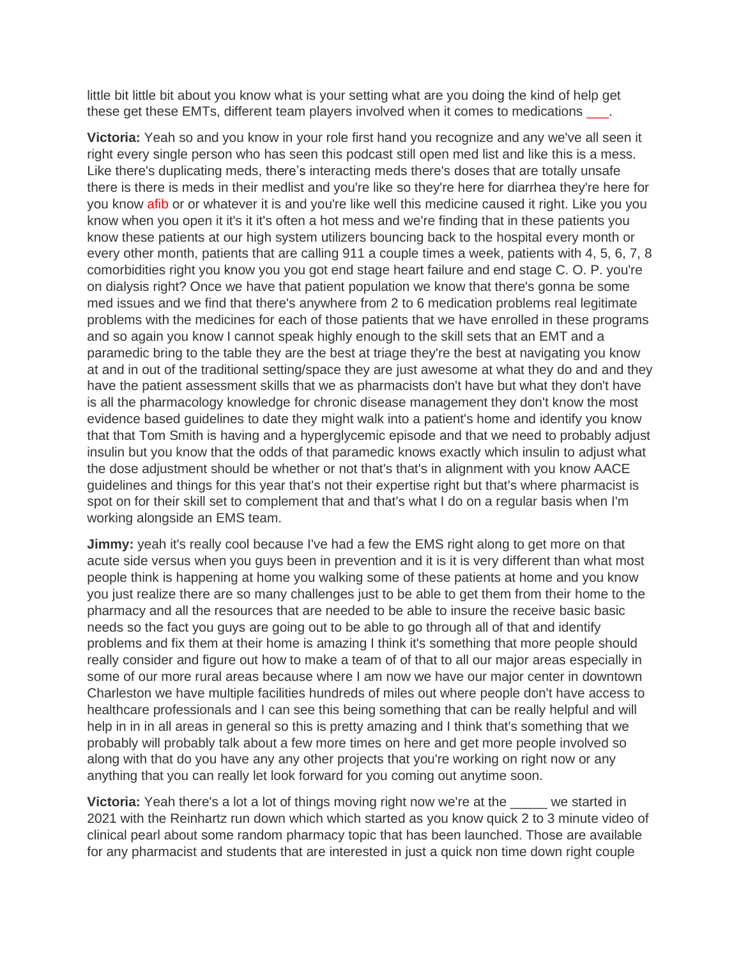little bit little bit about you know what is your setting what are you doing the kind of help get these get these EMTs, different team players involved when it comes to medications \_\_\_.

**Victoria:** Yeah so and you know in your role first hand you recognize and any we've all seen it right every single person who has seen this podcast still open med list and like this is a mess. Like there's duplicating meds, there's interacting meds there's doses that are totally unsafe there is there is meds in their medlist and you're like so they're here for diarrhea they're here for you know afib or or whatever it is and you're like well this medicine caused it right. Like you you know when you open it it's it it's often a hot mess and we're finding that in these patients you know these patients at our high system utilizers bouncing back to the hospital every month or every other month, patients that are calling 911 a couple times a week, patients with 4, 5, 6, 7, 8 comorbidities right you know you you got end stage heart failure and end stage C. O. P. you're on dialysis right? Once we have that patient population we know that there's gonna be some med issues and we find that there's anywhere from 2 to 6 medication problems real legitimate problems with the medicines for each of those patients that we have enrolled in these programs and so again you know I cannot speak highly enough to the skill sets that an EMT and a paramedic bring to the table they are the best at triage they're the best at navigating you know at and in out of the traditional setting/space they are just awesome at what they do and and they have the patient assessment skills that we as pharmacists don't have but what they don't have is all the pharmacology knowledge for chronic disease management they don't know the most evidence based guidelines to date they might walk into a patient's home and identify you know that that Tom Smith is having and a hyperglycemic episode and that we need to probably adjust insulin but you know that the odds of that paramedic knows exactly which insulin to adjust what the dose adjustment should be whether or not that's that's in alignment with you know AACE guidelines and things for this year that's not their expertise right but that's where pharmacist is spot on for their skill set to complement that and that's what I do on a regular basis when I'm working alongside an EMS team.

**Jimmy:** yeah it's really cool because I've had a few the EMS right along to get more on that acute side versus when you guys been in prevention and it is it is very different than what most people think is happening at home you walking some of these patients at home and you know you just realize there are so many challenges just to be able to get them from their home to the pharmacy and all the resources that are needed to be able to insure the receive basic basic needs so the fact you guys are going out to be able to go through all of that and identify problems and fix them at their home is amazing I think it's something that more people should really consider and figure out how to make a team of of that to all our major areas especially in some of our more rural areas because where I am now we have our major center in downtown Charleston we have multiple facilities hundreds of miles out where people don't have access to healthcare professionals and I can see this being something that can be really helpful and will help in in in all areas in general so this is pretty amazing and I think that's something that we probably will probably talk about a few more times on here and get more people involved so along with that do you have any any other projects that you're working on right now or any anything that you can really let look forward for you coming out anytime soon.

**Victoria:** Yeah there's a lot a lot of things moving right now we're at the \_\_\_\_\_ we started in 2021 with the Reinhartz run down which which started as you know quick 2 to 3 minute video of clinical pearl about some random pharmacy topic that has been launched. Those are available for any pharmacist and students that are interested in just a quick non time down right couple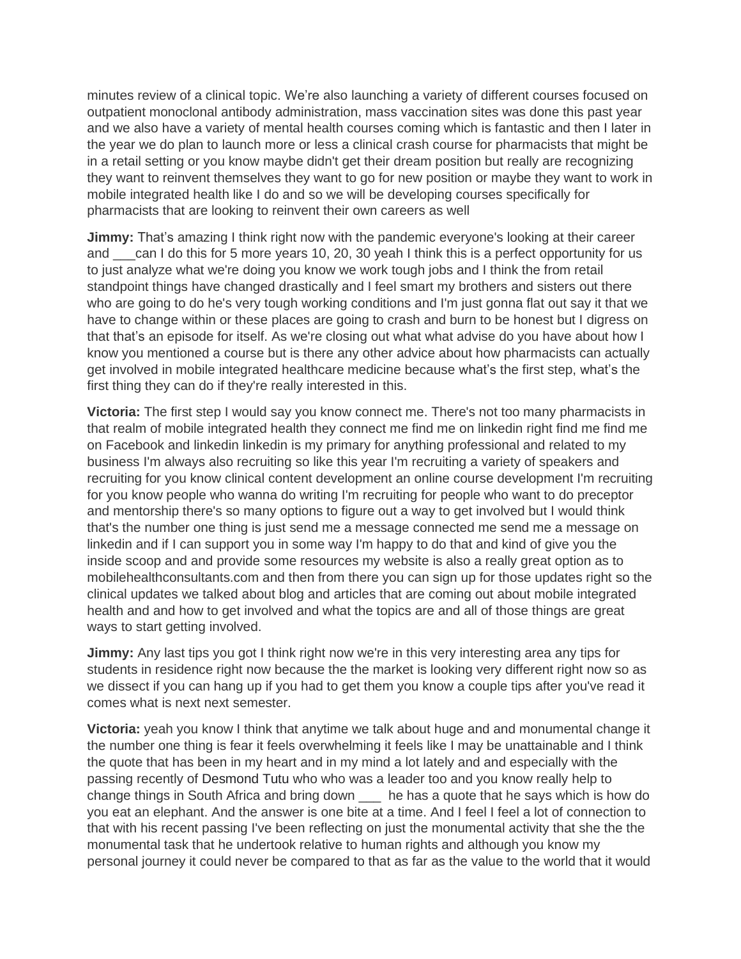minutes review of a clinical topic. We're also launching a variety of different courses focused on outpatient monoclonal antibody administration, mass vaccination sites was done this past year and we also have a variety of mental health courses coming which is fantastic and then I later in the year we do plan to launch more or less a clinical crash course for pharmacists that might be in a retail setting or you know maybe didn't get their dream position but really are recognizing they want to reinvent themselves they want to go for new position or maybe they want to work in mobile integrated health like I do and so we will be developing courses specifically for pharmacists that are looking to reinvent their own careers as well

**Jimmy:** That's amazing I think right now with the pandemic everyone's looking at their career and can I do this for 5 more years 10, 20, 30 yeah I think this is a perfect opportunity for us to just analyze what we're doing you know we work tough jobs and I think the from retail standpoint things have changed drastically and I feel smart my brothers and sisters out there who are going to do he's very tough working conditions and I'm just gonna flat out say it that we have to change within or these places are going to crash and burn to be honest but I digress on that that's an episode for itself. As we're closing out what what advise do you have about how I know you mentioned a course but is there any other advice about how pharmacists can actually get involved in mobile integrated healthcare medicine because what's the first step, what's the first thing they can do if they're really interested in this.

**Victoria:** The first step I would say you know connect me. There's not too many pharmacists in that realm of mobile integrated health they connect me find me on linkedin right find me find me on Facebook and linkedin linkedin is my primary for anything professional and related to my business I'm always also recruiting so like this year I'm recruiting a variety of speakers and recruiting for you know clinical content development an online course development I'm recruiting for you know people who wanna do writing I'm recruiting for people who want to do preceptor and mentorship there's so many options to figure out a way to get involved but I would think that's the number one thing is just send me a message connected me send me a message on linkedin and if I can support you in some way I'm happy to do that and kind of give you the inside scoop and and provide some resources my website is also a really great option as to mobilehealthconsultants.com and then from there you can sign up for those updates right so the clinical updates we talked about blog and articles that are coming out about mobile integrated health and and how to get involved and what the topics are and all of those things are great ways to start getting involved.

**Jimmy:** Any last tips you got I think right now we're in this very interesting area any tips for students in residence right now because the the market is looking very different right now so as we dissect if you can hang up if you had to get them you know a couple tips after you've read it comes what is next next semester.

**Victoria:** yeah you know I think that anytime we talk about huge and and monumental change it the number one thing is fear it feels overwhelming it feels like I may be unattainable and I think the quote that has been in my heart and in my mind a lot lately and and especially with the passing recently of Desmond Tutu who who was a leader too and you know really help to change things in South Africa and bring down \_\_\_ he has a quote that he says which is how do you eat an elephant. And the answer is one bite at a time. And I feel I feel a lot of connection to that with his recent passing I've been reflecting on just the monumental activity that she the the monumental task that he undertook relative to human rights and although you know my personal journey it could never be compared to that as far as the value to the world that it would